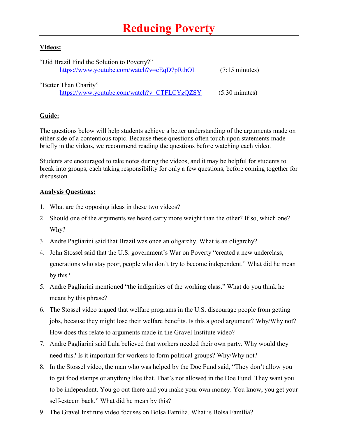## **Reducing Poverty**

## **Videos:**

| "Did Brazil Find the Solution to Poverty?"  |                          |
|---------------------------------------------|--------------------------|
| https://www.youtube.com/watch?v=cEqD7pRthOI | $(7:15 \text{ minutes})$ |
|                                             |                          |
| "Better Than Charity"                       |                          |
| https://www.youtube.com/watch?v=CTFLCYzQZSY | $(5:30 \text{ minutes})$ |

## **Guide:**

The questions below will help students achieve a better understanding of the arguments made on either side of a contentious topic. Because these questions often touch upon statements made briefly in the videos, we recommend reading the questions before watching each video.

Students are encouraged to take notes during the videos, and it may be helpful for students to break into groups, each taking responsibility for only a few questions, before coming together for discussion.

## **Analysis Questions:**

- 1. What are the opposing ideas in these two videos?
- 2. Should one of the arguments we heard carry more weight than the other? If so, which one? Why?
- 3. Andre Pagliarini said that Brazil was once an oligarchy. What is an oligarchy?
- 4. John Stossel said that the U.S. government's War on Poverty "created a new underclass, generations who stay poor, people who don't try to become independent." What did he mean by this?
- 5. Andre Pagliarini mentioned "the indignities of the working class." What do you think he meant by this phrase?
- 6. The Stossel video argued that welfare programs in the U.S. discourage people from getting jobs, because they might lose their welfare benefits. Is this a good argument? Why/Why not? How does this relate to arguments made in the Gravel Institute video?
- 7. Andre Pagliarini said Lula believed that workers needed their own party. Why would they need this? Is it important for workers to form political groups? Why/Why not?
- 8. In the Stossel video, the man who was helped by the Doe Fund said, "They don't allow you to get food stamps or anything like that. That's not allowed in the Doe Fund. They want you to be independent. You go out there and you make your own money. You know, you get your self-esteem back." What did he mean by this?
- 9. The Gravel Institute video focuses on Bolsa Família. What is Bolsa Família?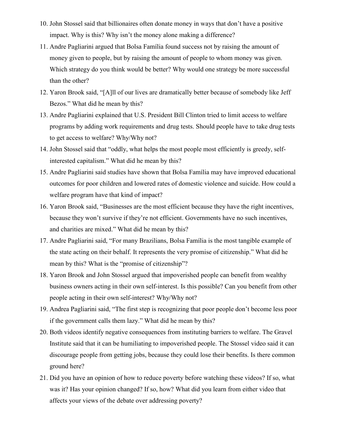- 10. John Stossel said that billionaires often donate money in ways that don't have a positive impact. Why is this? Why isn't the money alone making a difference?
- 11. Andre Pagliarini argued that Bolsa Família found success not by raising the amount of money given to people, but by raising the amount of people to whom money was given. Which strategy do you think would be better? Why would one strategy be more successful than the other?
- 12. Yaron Brook said, "[A]ll of our lives are dramatically better because of somebody like Jeff Bezos." What did he mean by this?
- 13. Andre Pagliarini explained that U.S. President Bill Clinton tried to limit access to welfare programs by adding work requirements and drug tests. Should people have to take drug tests to get access to welfare? Why/Why not?
- 14. John Stossel said that "oddly, what helps the most people most efficiently is greedy, selfinterested capitalism." What did he mean by this?
- 15. Andre Pagliarini said studies have shown that Bolsa Família may have improved educational outcomes for poor children and lowered rates of domestic violence and suicide. How could a welfare program have that kind of impact?
- 16. Yaron Brook said, "Businesses are the most efficient because they have the right incentives, because they won't survive if they're not efficient. Governments have no such incentives, and charities are mixed." What did he mean by this?
- 17. Andre Pagliarini said, "For many Brazilians, Bolsa Família is the most tangible example of the state acting on their behalf. It represents the very promise of citizenship." What did he mean by this? What is the "promise of citizenship"?
- 18. Yaron Brook and John Stossel argued that impoverished people can benefit from wealthy business owners acting in their own self-interest. Is this possible? Can you benefit from other people acting in their own self-interest? Why/Why not?
- 19. Andrea Pagliarini said, "The first step is recognizing that poor people don't become less poor if the government calls them lazy." What did he mean by this?
- 20. Both videos identify negative consequences from instituting barriers to welfare. The Gravel Institute said that it can be humiliating to impoverished people. The Stossel video said it can discourage people from getting jobs, because they could lose their benefits. Is there common ground here?
- 21. Did you have an opinion of how to reduce poverty before watching these videos? If so, what was it? Has your opinion changed? If so, how? What did you learn from either video that affects your views of the debate over addressing poverty?